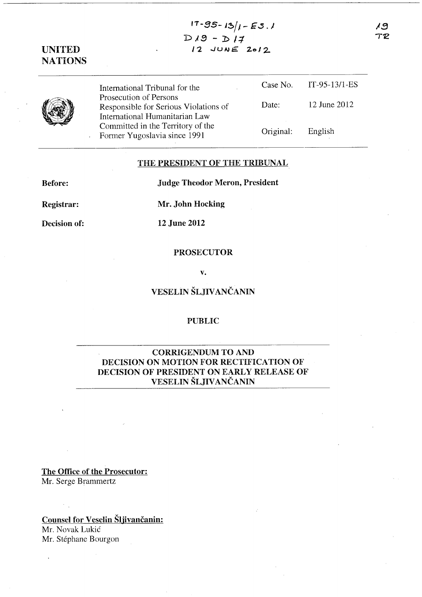13  $T \mathcal{P}$ 

 $17 - 95 - 13/1 - 55.1$  $D19 - D17$  $12$  JUNE 2012

# UNITED **NATIONS**

International Tribunal for the Prosecution of Persons Responsible for Serious Violations of International Humanitarian Law Committed in the Territory of the Former Yugoslavia since 1991 Case No. Date: Original: IT-95-13/l-ES 12 June 2012 English

### THE PRESIDENT OF THE TRIBUNAL

Before:

Judge Theodor Meron, President

Registrar:

Mr. John Hocking

Decision of:

12 June 2012

#### PROSECUTOR

v.

## VESELIN ŠLJIVANČANIN

#### PUBLIC

## CORRIGENDUM TO AND DECISION ON MOTION FOR RECTIFICATION OF DECISION OF PRESIDENT ON EARLY RELEASE OF VESELIN ŠLJIVANČANIN

The Office of the Prosecutor: Mr. Serge Brammertz

## Counsel for Veselin Šljivančanin:

Mr. Novak Lukić Mr. Stéphane Bourgon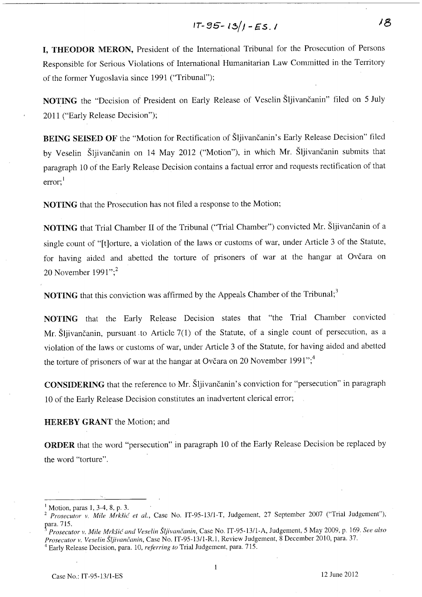$$
17-95-13/1-E5.1
$$

18

I, THEODOR MERON, President of the International Tribunal for the Prosecution of Persons Responsible for Serious Violations of International Humanitarian Law Committed in the Territory of the former Yugoslavia since 1991 ("Tribunal");

NOTING the "Decision of President on Early Release of Veselin Šljivančanin" filed on 5 July 2011 ("Early Release Decision");

BEING SEISED OF the "Motion for Rectification of Šljivančanin's Early Release Decision" filed by Veselin Šljivančanin on 14 May 2012 ("Motion"), in which Mr. Šljivančanin submits that paragraph 10 of the Early Release Decision contains a factual error and requests rectification of that error;<sup>1</sup>

NOTING that the Prosecution has not filed a response to the Motion;

NOTING that Trial Chamber II of the Tribunal ("Trial Chamber") convicted Mr. Šljivančanin of a single count of "[t]orture, a violation of the laws or customs of war, under Article 3 of the Statute, for having aided and abetted the torture of prisoners of war at the hangar at Ovčara on 20 November  $1991$ ";<sup>2</sup>

**NOTING** that this conviction was affirmed by the Appeals Chamber of the Tribunal;<sup>3</sup>

NOTING that the Early Release Decision states that "the Trial Chamber convicted Mr. Šljivančanin, pursuant .to Article 7(1) of the Statute, of a single count of persecution, as a violation of the laws or customs of war, under Article 3 of the Statute, for having aided and abetted the torture of prisoners of war at the hangar at Ovčara on 20 November 1991";<sup>4</sup>

CONSIDERING that the reference to Mr. Šljivančanin' s conviction for "persecution" in paragraph 10 of the Early Release Decision constitutes an inadvertent clerical error;

#### HEREBY GRANT the Motion; and

ORDER that the word "persecution" in paragraph 10 of the Early Release Decision be replaced by the word "torture".

Motion, paras 1, 3-4, 8, p. 3.

<sup>&</sup>lt;sup>2</sup> Prosecutor v. Mile Mrkšić et al., Case No. IT-95-13/1-T, Judgement, 27 September 2007 ("Trial Judgement"),

para. 715.<br><sup>3</sup> Prosecutor v. Mile Mrkšić and Veselin Šljivančanin, Case No. IT-95-13/1-A, Judgement, 5 May 2009, p. 169. See also *Prosu'utor v. Veselin* ŠUivančanin, Case No. IT-95-13/l-R.l, Review Judgement, 8 December 2010, para. 37.

<sup>4</sup> Early Release Decision, para. 10, *referring to* Trial Judgement, para. 715.